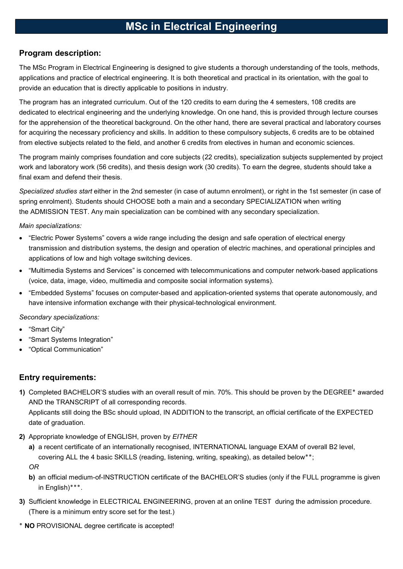# MSc in Electrical Engineering

## Program description:

The MSc Program in Electrical Engineering is designed to give students a thorough understanding of the tools, methods, applications and practice of electrical engineering. It is both theoretical and practical in its orientation, with the goal to provide an education that is directly applicable to positions in industry.

The program has an integrated curriculum. Out of the 120 credits to earn during the 4 semesters, 108 credits are dedicated to electrical engineering and the underlying knowledge. On one hand, this is provided through lecture courses for the apprehension of the theoretical background. On the other hand, there are several practical and laboratory courses for acquiring the necessary proficiency and skills. In addition to these compulsory subjects, 6 credits are to be obtained from elective subjects related to the field, and another 6 credits from electives in human and economic sciences.

The program mainly comprises foundation and core subjects (22 credits), specialization subjects supplemented by project work and laboratory work (56 credits), and thesis design work (30 credits). To earn the degree, students should take a final exam and defend their thesis.

Specialized studies start either in the 2nd semester (in case of autumn enrolment), or right in the 1st semester (in case of spring enrolment). Students should CHOOSE both a main and a secondary SPECIALIZATION when writing the ADMISSION TEST. Any main specialization can be combined with any secondary specialization.

#### Main specializations:

- "Electric Power Systems" covers a wide range including the design and safe operation of electrical energy transmission and distribution systems, the design and operation of electric machines, and operational principles and applications of low and high voltage switching devices.
- "Multimedia Systems and Services" is concerned with telecommunications and computer network-based applications (voice, data, image, video, multimedia and composite social information systems).
- "Embedded Systems" focuses on computer-based and application-oriented systems that operate autonomously, and have intensive information exchange with their physical-technological environment.

#### Secondary specializations:

- "Smart City"
- "Smart Systems Integration"
- "Optical Communication"

## Entry requirements:

- 1) Completed BACHELOR'S studies with an overall result of min. 70%. This should be proven by the DEGREE٭ awarded AND the TRANSCRIPT of all corresponding records. Applicants still doing the BSc should upload, IN ADDITION to the transcript, an official certificate of the EXPECTED date of graduation.
- 2) Appropriate knowledge of ENGLISH, proven by EITHER
	- a) a recent certificate of an internationally recognised, INTERNATIONAL language EXAM of overall B2 level, covering ALL the 4 basic SKILLS (reading, listening, writing, speaking), as detailed below \*\*; OR
	- b) an official medium-of-INSTRUCTION certificate of the BACHELOR'S studies (only if the FULL programme is given in English)٭٭٭.
- 3) Sufficient knowledge in ELECTRICAL ENGINEERING, proven at an online TEST during the admission procedure. (There is a minimum entry score set for the test.)
- ٭ NO PROVISIONAL degree certificate is accepted!